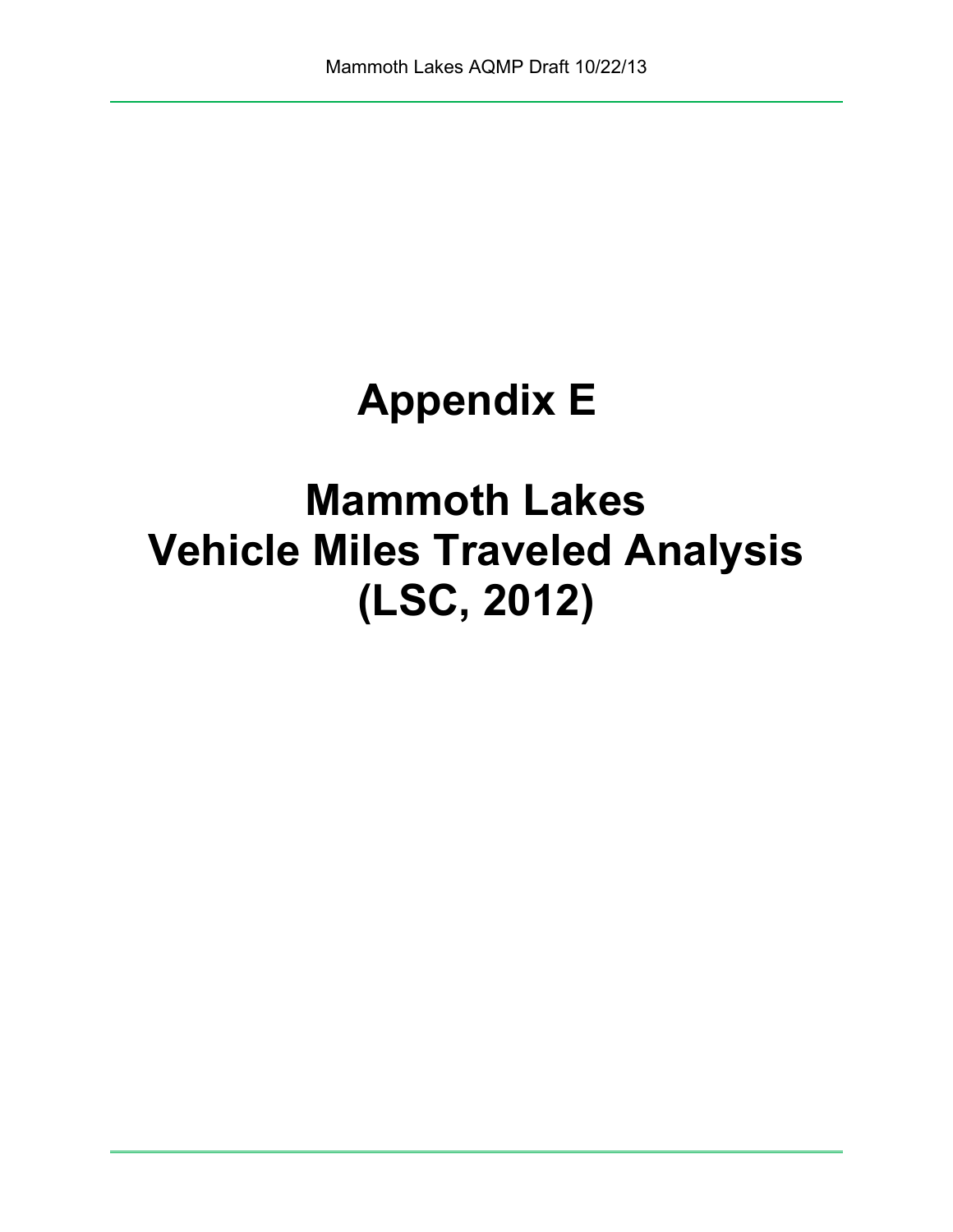# **Appendix E**

**Mammoth Lakes Vehicle Miles Traveled Analysis (LSC, 2012)**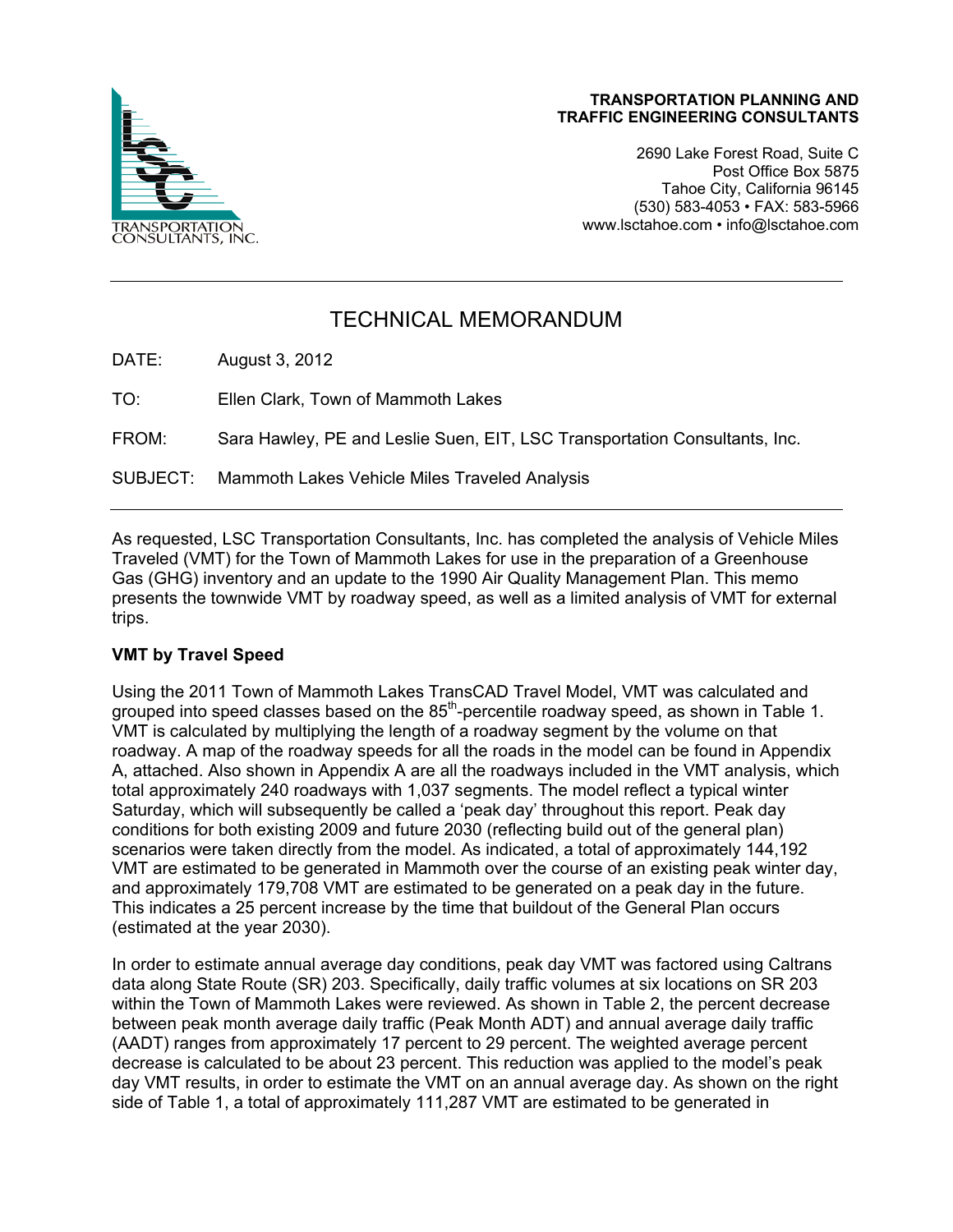

2690 Lake Forest Road, Suite C Post Office Box 5875 Tahoe City, California 96145 (530) 583-4053 • FAX: 583-5966 www.lsctahoe.com • info@lsctahoe.com

# TECHNICAL MEMORANDUM

DATE: August 3, 2012

TO: Ellen Clark, Town of Mammoth Lakes

FROM: Sara Hawley, PE and Leslie Suen, EIT, LSC Transportation Consultants, Inc.

SUBJECT: Mammoth Lakes Vehicle Miles Traveled Analysis

As requested, LSC Transportation Consultants, Inc. has completed the analysis of Vehicle Miles Traveled (VMT) for the Town of Mammoth Lakes for use in the preparation of a Greenhouse Gas (GHG) inventory and an update to the 1990 Air Quality Management Plan. This memo presents the townwide VMT by roadway speed, as well as a limited analysis of VMT for external trips.

# **VMT by Travel Speed**

Using the 2011 Town of Mammoth Lakes TransCAD Travel Model, VMT was calculated and grouped into speed classes based on the 85<sup>th</sup>-percentile roadway speed, as shown in Table 1. VMT is calculated by multiplying the length of a roadway segment by the volume on that roadway. A map of the roadway speeds for all the roads in the model can be found in Appendix A, attached. Also shown in Appendix A are all the roadways included in the VMT analysis, which total approximately 240 roadways with 1,037 segments. The model reflect a typical winter Saturday, which will subsequently be called a 'peak day' throughout this report. Peak day conditions for both existing 2009 and future 2030 (reflecting build out of the general plan) scenarios were taken directly from the model. As indicated, a total of approximately 144,192 VMT are estimated to be generated in Mammoth over the course of an existing peak winter day, and approximately 179,708 VMT are estimated to be generated on a peak day in the future. This indicates a 25 percent increase by the time that buildout of the General Plan occurs (estimated at the year 2030).

In order to estimate annual average day conditions, peak day VMT was factored using Caltrans data along State Route (SR) 203. Specifically, daily traffic volumes at six locations on SR 203 within the Town of Mammoth Lakes were reviewed. As shown in Table 2, the percent decrease between peak month average daily traffic (Peak Month ADT) and annual average daily traffic (AADT) ranges from approximately 17 percent to 29 percent. The weighted average percent decrease is calculated to be about 23 percent. This reduction was applied to the model's peak day VMT results, in order to estimate the VMT on an annual average day. As shown on the right side of Table 1, a total of approximately 111,287 VMT are estimated to be generated in

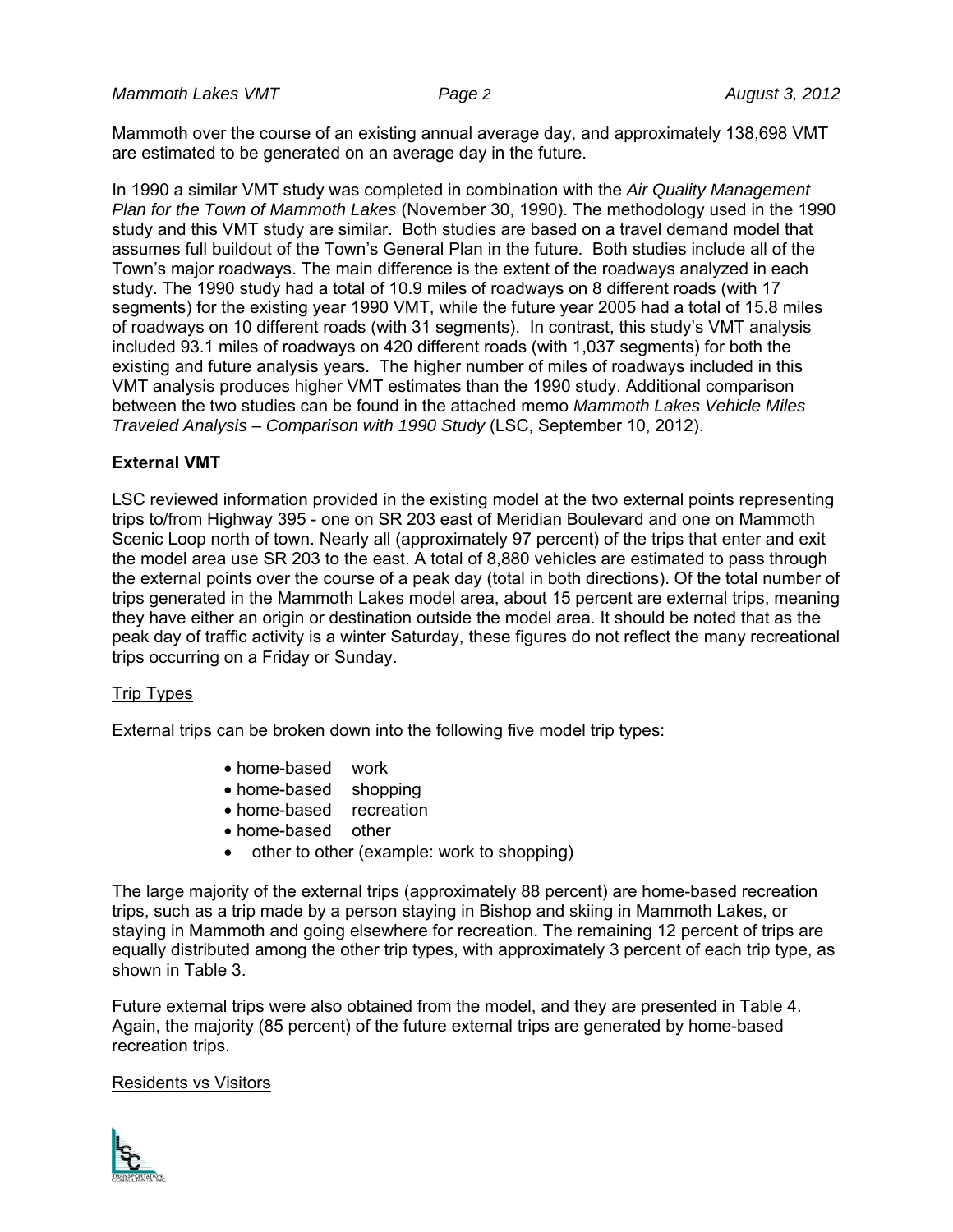*Mammoth Lakes VMT* Page 2 August 3, 2012

Mammoth over the course of an existing annual average day, and approximately 138,698 VMT are estimated to be generated on an average day in the future.

In 1990 a similar VMT study was completed in combination with the *Air Quality Management Plan for the Town of Mammoth Lakes* (November 30, 1990). The methodology used in the 1990 study and this VMT study are similar. Both studies are based on a travel demand model that assumes full buildout of the Town's General Plan in the future. Both studies include all of the Town's major roadways. The main difference is the extent of the roadways analyzed in each study. The 1990 study had a total of 10.9 miles of roadways on 8 different roads (with 17 segments) for the existing year 1990 VMT, while the future year 2005 had a total of 15.8 miles of roadways on 10 different roads (with 31 segments). In contrast, this study's VMT analysis included 93.1 miles of roadways on 420 different roads (with 1,037 segments) for both the existing and future analysis years. The higher number of miles of roadways included in this VMT analysis produces higher VMT estimates than the 1990 study. Additional comparison between the two studies can be found in the attached memo *Mammoth Lakes Vehicle Miles Traveled Analysis – Comparison with 1990 Study* (LSC, September 10, 2012).

# **External VMT**

LSC reviewed information provided in the existing model at the two external points representing trips to/from Highway 395 - one on SR 203 east of Meridian Boulevard and one on Mammoth Scenic Loop north of town. Nearly all (approximately 97 percent) of the trips that enter and exit the model area use SR 203 to the east. A total of 8,880 vehicles are estimated to pass through the external points over the course of a peak day (total in both directions). Of the total number of trips generated in the Mammoth Lakes model area, about 15 percent are external trips, meaning they have either an origin or destination outside the model area. It should be noted that as the peak day of traffic activity is a winter Saturday, these figures do not reflect the many recreational trips occurring on a Friday or Sunday.

# Trip Types

External trips can be broken down into the following five model trip types:

- home-based work
- home-based shopping
- home-based recreation
- home-based other
- other to other (example: work to shopping)

The large majority of the external trips (approximately 88 percent) are home-based recreation trips, such as a trip made by a person staying in Bishop and skiing in Mammoth Lakes, or staying in Mammoth and going elsewhere for recreation. The remaining 12 percent of trips are equally distributed among the other trip types, with approximately 3 percent of each trip type, as shown in Table 3.

Future external trips were also obtained from the model, and they are presented in Table 4. Again, the majority (85 percent) of the future external trips are generated by home-based recreation trips.

#### Residents vs Visitors

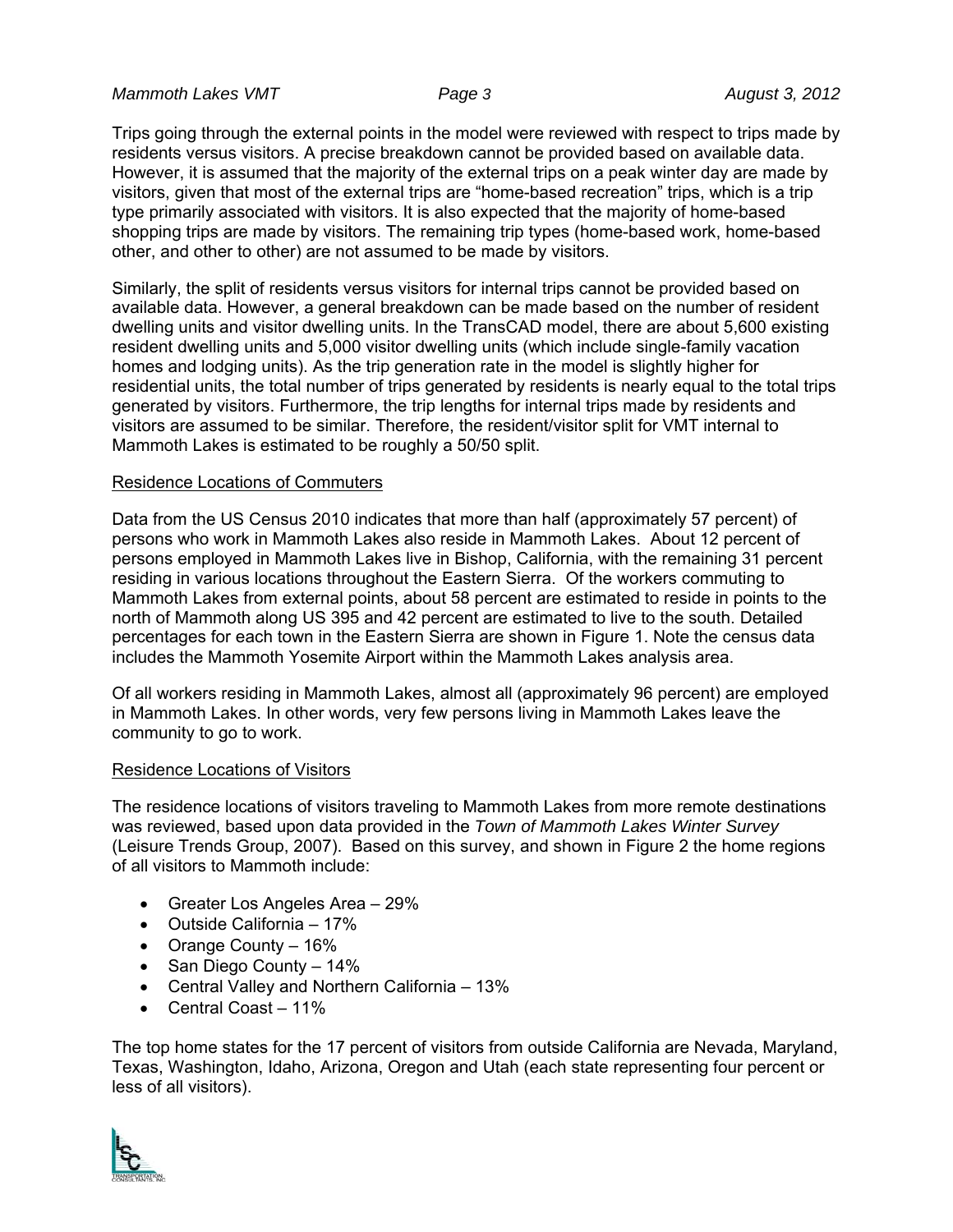*Mammoth Lakes VMT Page 3* August 3, 2012

Trips going through the external points in the model were reviewed with respect to trips made by residents versus visitors. A precise breakdown cannot be provided based on available data. However, it is assumed that the majority of the external trips on a peak winter day are made by visitors, given that most of the external trips are "home-based recreation" trips, which is a trip type primarily associated with visitors. It is also expected that the majority of home-based shopping trips are made by visitors. The remaining trip types (home-based work, home-based other, and other to other) are not assumed to be made by visitors.

Similarly, the split of residents versus visitors for internal trips cannot be provided based on available data. However, a general breakdown can be made based on the number of resident dwelling units and visitor dwelling units. In the TransCAD model, there are about 5,600 existing resident dwelling units and 5,000 visitor dwelling units (which include single-family vacation homes and lodging units). As the trip generation rate in the model is slightly higher for residential units, the total number of trips generated by residents is nearly equal to the total trips generated by visitors. Furthermore, the trip lengths for internal trips made by residents and visitors are assumed to be similar. Therefore, the resident/visitor split for VMT internal to Mammoth Lakes is estimated to be roughly a 50/50 split.

#### Residence Locations of Commuters

Data from the US Census 2010 indicates that more than half (approximately 57 percent) of persons who work in Mammoth Lakes also reside in Mammoth Lakes. About 12 percent of persons employed in Mammoth Lakes live in Bishop, California, with the remaining 31 percent residing in various locations throughout the Eastern Sierra. Of the workers commuting to Mammoth Lakes from external points, about 58 percent are estimated to reside in points to the north of Mammoth along US 395 and 42 percent are estimated to live to the south. Detailed percentages for each town in the Eastern Sierra are shown in Figure 1. Note the census data includes the Mammoth Yosemite Airport within the Mammoth Lakes analysis area.

Of all workers residing in Mammoth Lakes, almost all (approximately 96 percent) are employed in Mammoth Lakes. In other words, very few persons living in Mammoth Lakes leave the community to go to work.

#### Residence Locations of Visitors

The residence locations of visitors traveling to Mammoth Lakes from more remote destinations was reviewed, based upon data provided in the *Town of Mammoth Lakes Winter Survey* (Leisure Trends Group, 2007). Based on this survey, and shown in Figure 2 the home regions of all visitors to Mammoth include:

- Greater Los Angeles Area 29%
- Outside California 17%
- Orange County 16%
- San Diego County 14%
- Central Valley and Northern California 13%
- Central Coast 11%

The top home states for the 17 percent of visitors from outside California are Nevada, Maryland, Texas, Washington, Idaho, Arizona, Oregon and Utah (each state representing four percent or less of all visitors).

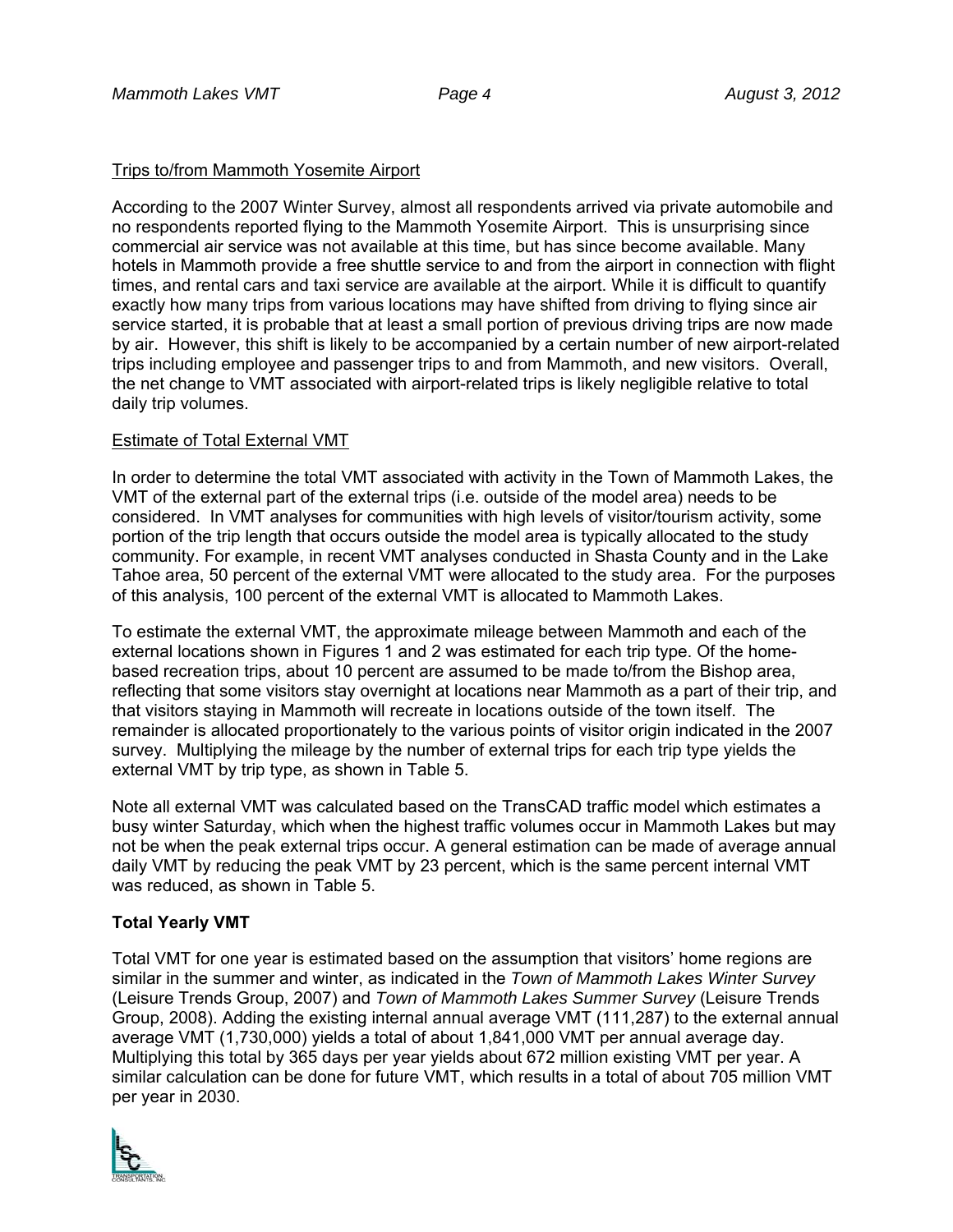# Trips to/from Mammoth Yosemite Airport

According to the 2007 Winter Survey, almost all respondents arrived via private automobile and no respondents reported flying to the Mammoth Yosemite Airport. This is unsurprising since commercial air service was not available at this time, but has since become available. Many hotels in Mammoth provide a free shuttle service to and from the airport in connection with flight times, and rental cars and taxi service are available at the airport. While it is difficult to quantify exactly how many trips from various locations may have shifted from driving to flying since air service started, it is probable that at least a small portion of previous driving trips are now made by air. However, this shift is likely to be accompanied by a certain number of new airport-related trips including employee and passenger trips to and from Mammoth, and new visitors. Overall, the net change to VMT associated with airport-related trips is likely negligible relative to total daily trip volumes.

### Estimate of Total External VMT

In order to determine the total VMT associated with activity in the Town of Mammoth Lakes, the VMT of the external part of the external trips (i.e. outside of the model area) needs to be considered. In VMT analyses for communities with high levels of visitor/tourism activity, some portion of the trip length that occurs outside the model area is typically allocated to the study community. For example, in recent VMT analyses conducted in Shasta County and in the Lake Tahoe area, 50 percent of the external VMT were allocated to the study area. For the purposes of this analysis, 100 percent of the external VMT is allocated to Mammoth Lakes.

To estimate the external VMT, the approximate mileage between Mammoth and each of the external locations shown in Figures 1 and 2 was estimated for each trip type. Of the homebased recreation trips, about 10 percent are assumed to be made to/from the Bishop area, reflecting that some visitors stay overnight at locations near Mammoth as a part of their trip, and that visitors staying in Mammoth will recreate in locations outside of the town itself. The remainder is allocated proportionately to the various points of visitor origin indicated in the 2007 survey. Multiplying the mileage by the number of external trips for each trip type yields the external VMT by trip type, as shown in Table 5.

Note all external VMT was calculated based on the TransCAD traffic model which estimates a busy winter Saturday, which when the highest traffic volumes occur in Mammoth Lakes but may not be when the peak external trips occur. A general estimation can be made of average annual daily VMT by reducing the peak VMT by 23 percent, which is the same percent internal VMT was reduced, as shown in Table 5.

# **Total Yearly VMT**

Total VMT for one year is estimated based on the assumption that visitors' home regions are similar in the summer and winter, as indicated in the *Town of Mammoth Lakes Winter Survey* (Leisure Trends Group, 2007) and *Town of Mammoth Lakes Summer Survey* (Leisure Trends Group, 2008). Adding the existing internal annual average VMT (111,287) to the external annual average VMT (1,730,000) yields a total of about 1,841,000 VMT per annual average day. Multiplying this total by 365 days per year yields about 672 million existing VMT per year. A similar calculation can be done for future VMT, which results in a total of about 705 million VMT per year in 2030.

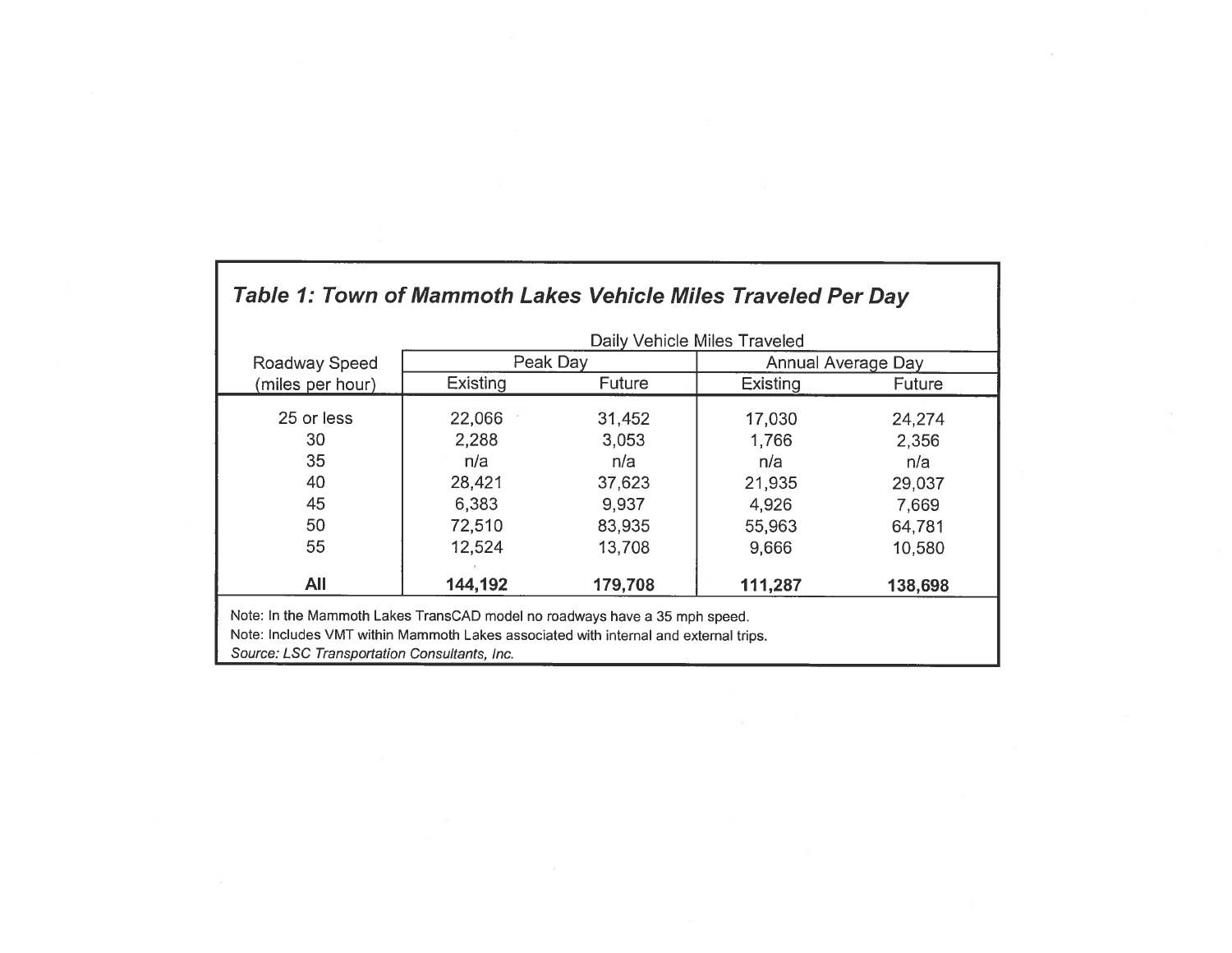|                  | Daily Vehicle Miles Traveled |         |                    |               |  |
|------------------|------------------------------|---------|--------------------|---------------|--|
| Roadway Speed    | Peak Day                     |         | Annual Average Day |               |  |
| (miles per hour) | <b>Existing</b>              | Future  | Existing           | <b>Future</b> |  |
| 25 or less       | 22,066                       | 31,452  | 17,030             | 24,274        |  |
| 30               | 2,288                        | 3,053   | 1,766              | 2,356         |  |
| 35               | n/a                          | n/a     | n/a                | n/a           |  |
| 40               | 28,421                       | 37,623  | 21,935             | 29,037        |  |
| 45               | 6,383                        | 9,937   | 4,926              | 7,669         |  |
| 50               | 72,510                       | 83,935  | 55,963             | 64,781        |  |
| 55               | 12,524                       | 13,708  | 9,666              | 10,580        |  |
| All              | 144,192                      | 179,708 | 111,287            | 138,698       |  |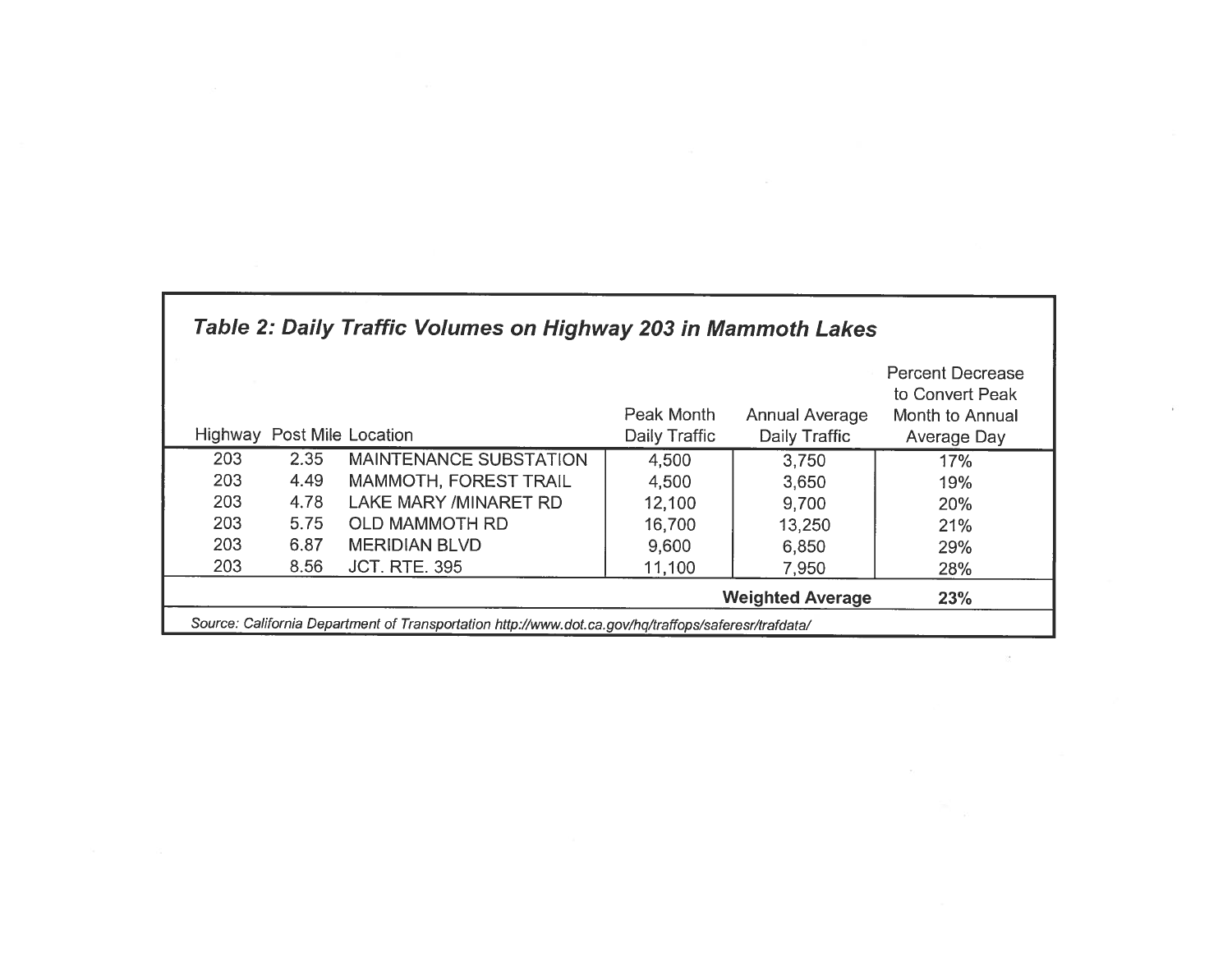| Table 2: Daily Traffic Volumes on Highway 203 in Mammoth Lakes                                       |      |                               |                             |                                        |                                                                              |  |
|------------------------------------------------------------------------------------------------------|------|-------------------------------|-----------------------------|----------------------------------------|------------------------------------------------------------------------------|--|
| Highway                                                                                              |      | Post Mile Location            | Peak Month<br>Daily Traffic | <b>Annual Average</b><br>Daily Traffic | <b>Percent Decrease</b><br>to Convert Peak<br>Month to Annual<br>Average Day |  |
| 203                                                                                                  | 2.35 | <b>MAINTENANCE SUBSTATION</b> | 4,500                       | 3,750                                  | 17%                                                                          |  |
| 203                                                                                                  | 4.49 | <b>MAMMOTH, FOREST TRAIL</b>  | 4,500                       | 3,650                                  | 19%                                                                          |  |
| 203                                                                                                  | 4.78 | <b>LAKE MARY /MINARET RD</b>  | 12,100                      | 9,700                                  | 20%                                                                          |  |
| 203                                                                                                  | 5.75 | <b>OLD MAMMOTH RD</b>         | 16,700                      | 13,250                                 | 21%                                                                          |  |
| 203                                                                                                  | 6.87 | <b>MERIDIAN BLVD</b>          | 9,600                       | 6,850                                  | 29%                                                                          |  |
| 203                                                                                                  | 8.56 | <b>JCT. RTE. 395</b>          | 11,100                      | 7,950                                  | 28%                                                                          |  |
|                                                                                                      |      |                               |                             | <b>Weighted Average</b>                | 23%                                                                          |  |
| Source: California Department of Transportation http://www.dot.ca.gov/hq/traffops/saferesr/trafdata/ |      |                               |                             |                                        |                                                                              |  |

 $\sim$ 

 $\sim 10^{11}$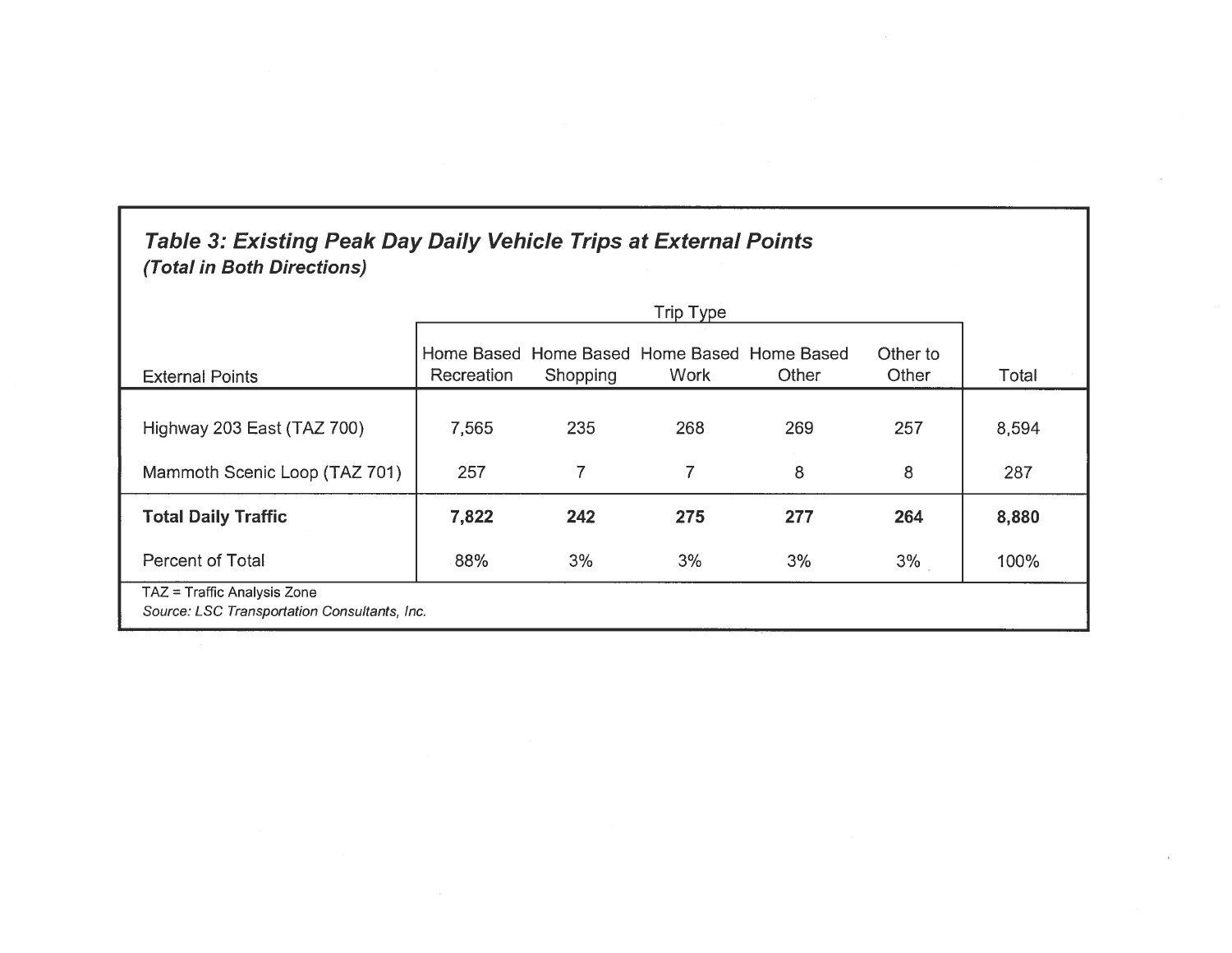# Table 3: Existing Peak Day Daily Vehicle Trips at External Points (Total in Both Directions)

| <b>External Points</b>                                                      | Recreation | Shopping | Home Based Home Based Home Based Home Based<br>Work | Other | Other to<br>Other | Total |
|-----------------------------------------------------------------------------|------------|----------|-----------------------------------------------------|-------|-------------------|-------|
| Highway 203 East (TAZ 700)                                                  | 7,565      | 235      | 268                                                 | 269   | 257               | 8,594 |
| Mammoth Scenic Loop (TAZ 701)                                               | 257        | 7        | 7                                                   | 8     | 8                 | 287   |
| <b>Total Daily Traffic</b>                                                  | 7,822      | 242      | 275                                                 | 277   | 264               | 8,880 |
| <b>Percent of Total</b>                                                     | 88%        | 3%       | 3%                                                  | 3%    | 3%                | 100%  |
| TAZ = Traffic Analysis Zone<br>Source: LSC Transportation Consultants, Inc. |            |          |                                                     |       |                   |       |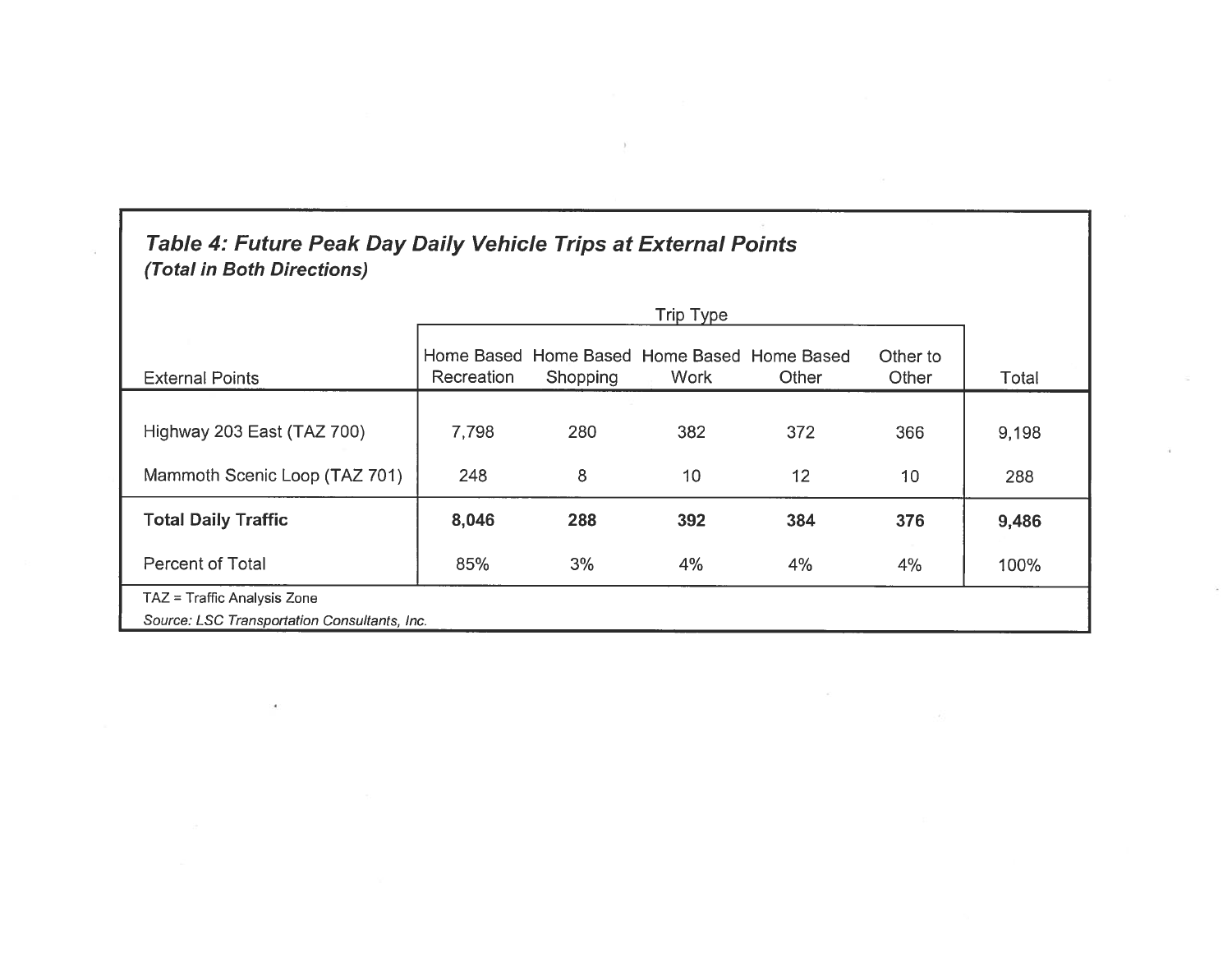# Table 4: Future Peak Day Daily Vehicle Trips at External Points (Total in Both Directions)

| <b>External Points</b>                       | Recreation | Shopping | Home Based Home Based Home Based Home Based<br><b>Work</b> | Other | Other to<br>Other | Total |
|----------------------------------------------|------------|----------|------------------------------------------------------------|-------|-------------------|-------|
| Highway 203 East (TAZ 700)                   | 7,798      | 280      | 382                                                        | 372   | 366               | 9,198 |
| Mammoth Scenic Loop (TAZ 701)                | 248        | 8        | 10                                                         | 12    | 10                | 288   |
| <b>Total Daily Traffic</b>                   | 8,046      | 288      | 392                                                        | 384   | 376               | 9,486 |
| <b>Percent of Total</b>                      | 85%        | 3%       | 4%                                                         | 4%    | 4%                | 100%  |
| TAZ = Traffic Analysis Zone                  |            |          |                                                            |       |                   |       |
| Source: LSC Transportation Consultants, Inc. |            |          |                                                            |       |                   |       |